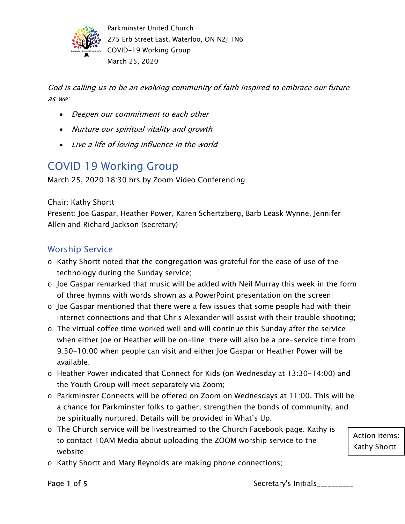

God is calling us to be an evolving community of faith inspired to embrace our future as we:

- Deepen our commitment to each other
- Nurture our spiritual vitality and growth
- Live a life of loving influence in the world

# COVID 19 Working Group

March 25, 2020 18:30 hrs by Zoom Video Conferencing

Chair: Kathy Shortt

Present: Joe Gaspar, Heather Power, Karen Schertzberg, Barb Leask Wynne, Jennifer Allen and Richard Jackson (secretary)

#### Worship Service

- o Kathy Shortt noted that the congregation was grateful for the ease of use of the technology during the Sunday service;
- o Joe Gaspar remarked that music will be added with Neil Murray this week in the form of three hymns with words shown as a PowerPoint presentation on the screen;
- o Joe Gaspar mentioned that there were a few issues that some people had with their internet connections and that Chris Alexander will assist with their trouble shooting;
- $\circ$  The virtual coffee time worked well and will continue this Sunday after the service when either Joe or Heather will be on-line; there will also be a pre-service time from 9:30-10:00 when people can visit and either Joe Gaspar or Heather Power will be available.
- o Heather Power indicated that Connect for Kids (on Wednesday at 13:30-14:00) and the Youth Group will meet separately via Zoom;
- o Parkminster Connects will be offered on Zoom on Wednesdays at 11:00. This will be a chance for Parkminster folks to gather, strengthen the bonds of community, and be spiritually nurtured. Details will be provided in What's Up.
- o The Church service will be livestreamed to the Church Facebook page. Kathy is to contact 10AM Media about uploading the ZOOM worship service to the website
- o Kathy Shortt and Mary Reynolds are making phone connections;

Action items: Kathy Shortt

Page 1 of 5 Secretary's Initials\_\_\_\_\_\_\_\_\_\_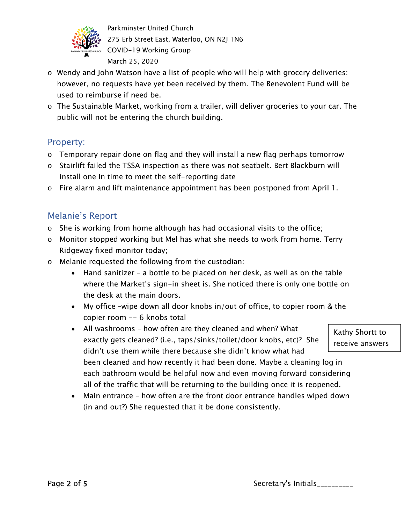

- o Wendy and John Watson have a list of people who will help with grocery deliveries; however, no requests have yet been received by them. The Benevolent Fund will be used to reimburse if need be.
- o The Sustainable Market, working from a trailer, will deliver groceries to your car. The public will not be entering the church building.

#### Property:

- o Temporary repair done on flag and they will install a new flag perhaps tomorrow
- o Stairlift failed the TSSA inspection as there was not seatbelt. Bert Blackburn will install one in time to meet the self-reporting date
- o Fire alarm and lift maintenance appointment has been postponed from April 1.

## Melanie's Report

- o She is working from home although has had occasional visits to the office;
- o Monitor stopped working but Mel has what she needs to work from home. Terry Ridgeway fixed monitor today;
- o Melanie requested the following from the custodian:
	- Hand sanitizer a bottle to be placed on her desk, as well as on the table where the Market's sign-in sheet is. She noticed there is only one bottle on the desk at the main doors.
	- My office –wipe down all door knobs in/out of office, to copier room & the copier room -- 6 knobs total
	- All washrooms how often are they cleaned and when? What exactly gets cleaned? (i.e., taps/sinks/toilet/door knobs, etc)? She didn't use them while there because she didn't know what had been cleaned and how recently it had been done. Maybe a cleaning log in each bathroom would be helpful now and even moving forward considering all of the traffic that will be returning to the building once it is reopened.
	- Main entrance how often are the front door entrance handles wiped down (in and out?) She requested that it be done consistently.

Kathy Shortt to receive answers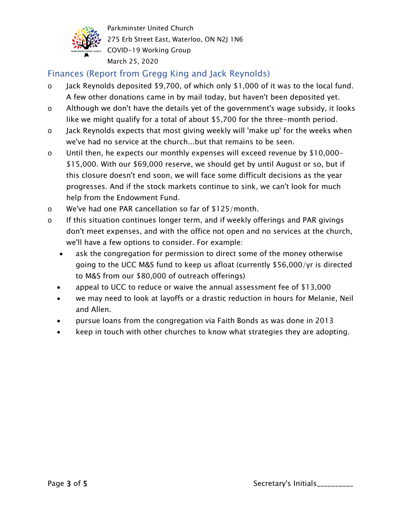

# Finances (Report from Gregg King and Jack Reynolds)

- o Jack Reynolds deposited \$9,700, of which only \$1,000 of it was to the local fund. A few other donations came in by mail today, but haven't been deposited yet.
- o Although we don't have the details yet of the government's wage subsidy, it looks like we might qualify for a total of about \$5,700 for the three-month period.
- o Jack Reynolds expects that most giving weekly will 'make up' for the weeks when we've had no service at the church...but that remains to be seen.
- o Until then, he expects our monthly expenses will exceed revenue by \$10,000- \$15,000. With our \$69,000 reserve, we should get by until August or so, but if this closure doesn't end soon, we will face some difficult decisions as the year progresses. And if the stock markets continue to sink, we can't look for much help from the Endowment Fund.
- o We've had one PAR cancellation so far of \$125/month.
- $\circ$  If this situation continues longer term, and if weekly offerings and PAR givings don't meet expenses, and with the office not open and no services at the church, we'll have a few options to consider. For example:
	- ask the congregation for permission to direct some of the money otherwise going to the UCC M&S fund to keep us afloat (currently \$56,000/yr is directed to M&S from our \$80,000 of outreach offerings)
	- appeal to UCC to reduce or waive the annual assessment fee of \$13,000
	- we may need to look at layoffs or a drastic reduction in hours for Melanie, Neil and Allen.
	- pursue loans from the congregation via Faith Bonds as was done in 2013
	- keep in touch with other churches to know what strategies they are adopting.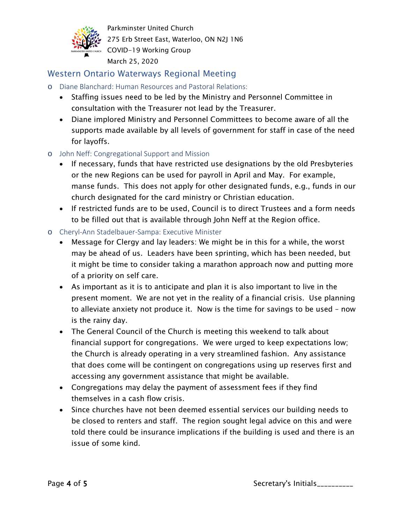

### Western Ontario Waterways Regional Meeting

- o Diane Blanchard: Human Resources and Pastoral Relations:
	- Staffing issues need to be led by the Ministry and Personnel Committee in consultation with the Treasurer not lead by the Treasurer.
	- Diane implored Ministry and Personnel Committees to become aware of all the supports made available by all levels of government for staff in case of the need for layoffs.
- o John Neff: Congregational Support and Mission
	- If necessary, funds that have restricted use designations by the old Presbyteries or the new Regions can be used for payroll in April and May. For example, manse funds. This does not apply for other designated funds, e.g., funds in our church designated for the card ministry or Christian education.
	- If restricted funds are to be used, Council is to direct Trustees and a form needs to be filled out that is available through John Neff at the Region office.
- o Cheryl-Ann Stadelbauer-Sampa: Executive Minister
	- Message for Clergy and lay leaders: We might be in this for a while, the worst may be ahead of us. Leaders have been sprinting, which has been needed, but it might be time to consider taking a marathon approach now and putting more of a priority on self care.
	- As important as it is to anticipate and plan it is also important to live in the present moment. We are not yet in the reality of a financial crisis. Use planning to alleviate anxiety not produce it. Now is the time for savings to be used – now is the rainy day.
	- The General Council of the Church is meeting this weekend to talk about financial support for congregations. We were urged to keep expectations low; the Church is already operating in a very streamlined fashion. Any assistance that does come will be contingent on congregations using up reserves first and accessing any government assistance that might be available.
	- Congregations may delay the payment of assessment fees if they find themselves in a cash flow crisis.
	- Since churches have not been deemed essential services our building needs to be closed to renters and staff. The region sought legal advice on this and were told there could be insurance implications if the building is used and there is an issue of some kind.